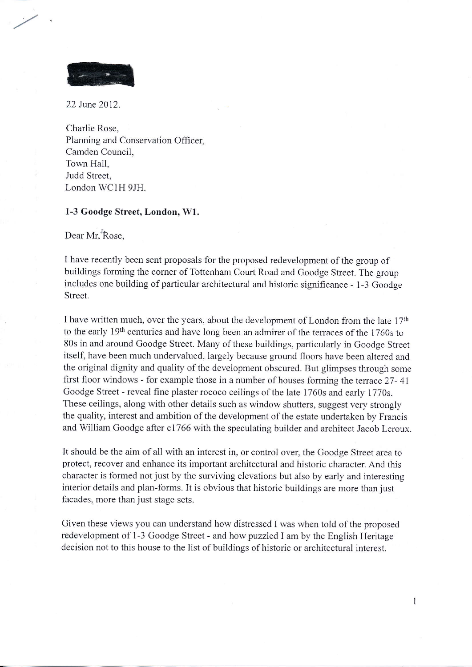

22 June 2012.

Charlie Rose, Planning and Conservation Officer, Camden Council, Town Hall, Judd Street, London WCIH 9JH.

## 1-3 Goodge Street, London, Wl.

Dear Mr, Rose,

I have recently been sent proposals for the proposed redevelopment of the group of buildings forming the corner of Tottenham Court Road and Goodge Street. The group includes one building of particular architectural and historic significance - 1-3 Goodge Street.

I have written much, over the years, about the development of London from the late 17<sup>th</sup> to the early 19<sup>th</sup> centuries and have long been an admirer of the terraces of the 1760s to 80s in and around Goodge Street. Many of these buildings, particularly in Goodge Street itself, have been much undervalued, largely because ground floors have been altered and the original dignity and quality of the development obscured. But glimpses through some first floor windows - for example those in a number of houses forming the terrace 27-41 Goodge Street - reveal fine plaster rococo ceilings of the late 1760s and early 1770s. These ceilings, along with other details such as window shutters, suggest very strongly the quality, interest and ambition of the development of the estate undertaken by Francis and William Goodge after c1766 with the speculating builder and architect Jacob Leroux.

It should be the aim of all with an interest in, or control over, the Goodge Street area to protect, recover and enhance its important architectural and historic character. And this character is formed not just by the surviving elevations but also by early and interesting interior details and plan-forms. It is obvious that historic buildings are more than just facades, more than just stage sets.

Given these views you can understand how distressed I was when told of the proposed redevelopment of 1-3 Goodge Street - and how puzzled I am by the English Heritage decision not to this house to the list of buildings of historic or architectural interest.

 $\mathbf{1}$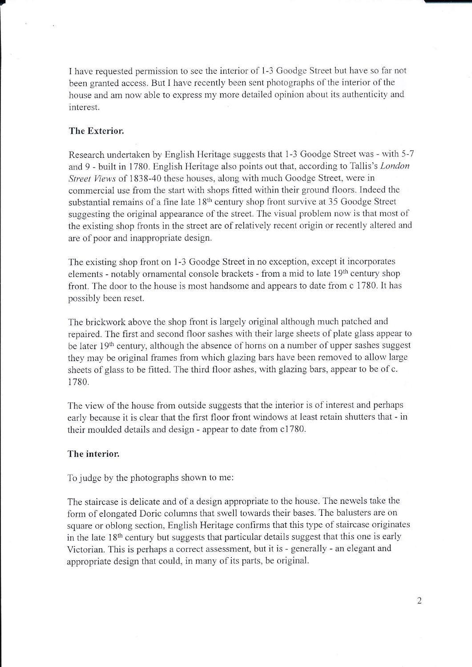I have requested permission to see the interior of 1-3 Goodge Street but have so far not been granted access. But I have recently been sent photographs of the interior of the house and am now able to express my more detailed opinion about its authenticity and interest.

## The Exterior.

Research undertaken by English Heritage suggests that 1-3 Goodge Street was - with 5-7 and 9 - built in 1780. English Heritage also points out that, according to Tallis's London Street Views of 1838-40 these houses, along with much Goodge Street, were in commercial use from the start with shops fitted within their ground floors. Indeed the substantial remains of a fine late 18<sup>th</sup> century shop front survive at 35 Goodge Street suggesting the original appearance of the street. The visual problem now is that most of the existing shop fronts in the street are of relatively recent origin or recently altered and are of poor and inappropriate design.

The existing shop front on l-3 Goodge Street in no exception. except it incorporates elements - notably ornamental console brackets - from a mid to late 19<sup>th</sup> century shop front. The door to the house is most handsome and appears to date from c 1780. It has possibly been reset.

The brickwork above the shop front is largely original although much patched and repaired. The first and second floor sashes with their large sheets of plate glass appear to be later  $19<sup>th</sup>$  century, although the absence of horns on a number of upper sashes suggest they may be original frames from which glazing bars have been removed to allow large sheets of glass to be fitted. The third floor ashes, with glazing bars, appear to be of c. 1780.

The view of the house from outside suggests that the interior is of interest and perhaps early because it is clear that the first floor front windows at least retain shutters that - in their moulded details and design - appear to date from c1780.

## The interior.

To judge by the photographs shown to me:

The staircase is delicate and of a design appropriate to the house. The newels take the form of elongated Doric columns that swell towards their bases. The balusters are on square or oblong section, English Heritage confirms that this type of staircase originates in the late 18<sup>th</sup> century but suggests that particular details suggest that this one is early Victorian. This is perhaps a correct assessment, but it is - generally - an elegant and appropriate design that could, in many of its parts, be original.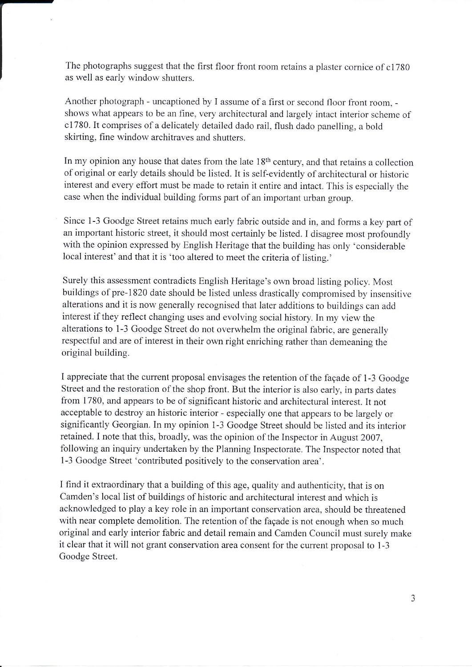The photographs suggest that the first floor front room retains a plaster cornice of c1780 as well as early window shutters.

Another photograph - uncaptioned by I assume of a first or second floor front room, shows what appears to be an fine, very architectural and largely intact interior scheme of c1780. It comprises of a delicately detailed dado rail, flush dado panelling, a bold skirting, fine window architraves and shutters.

In my opinion any house that dates from the late  $18<sup>th</sup>$  century, and that retains a collection of original or early details should be listed. It is self-evidently of architectural or historic interest and every effort must be made to retain it entire and intact. This is especially the case when the individual building forms part of an important urban group.

Since 1-3 Goodge Street retains much early fabric outside and in, and forms a key parl of an important historic street, it should most certainly be listed. I disagree most profoundly with the opinion expressed by English Heritage that the building has only 'considerable local interest' and that it is 'too altered to meet the criteria of listing.'

Surely this assessment contradicts English Heritage's own broad listing policy. Most buildings of pre-1820 date should be listed unless drastically compromised by insensitive alterations and it is now generally recognised that later additions to buildings can add interest if they reflect changing uses and evolving social history. In my view the alterations to 1-3 Goodge Street do not overwhelm the original fabric, are generally respectful and are of interest in their own right enriching rather than demeaning the original building.

I appreciate that the current proposal envisages the retention of the facade of 1-3 Goodge Street and the restoration of the shop front. But the interior is also early, in parts dates from 1780, and appears to be of significant historic and architectural interest. It not acceptable to destroy an historic interior - especially one that appears to be largely or significantly Georgian. In my opinion l-3 Goodge Street should be listed and its interior retained. I note that this, broadly, was the opinion of the Inspector in August 2007, following an inquiry undertaken by the Planning Inspectorate. The Inspector noted that 1-3 Goodge Street 'contributed positively to the conservation area'.

I find it extraordinary that a building of this age, quality and authenticity, that is on Camden's local list of buildings of historic and architectural interest and which is acknowledged to play a key role in an important conservation area, should be threatened with near complete demolition. The retention of the fagade is not enough when so much original and early interior fabric and detail remain and Camden Council must surely make it clear that it will not grant conservation area consent for the current proposal to 1-3 Goodge Street.